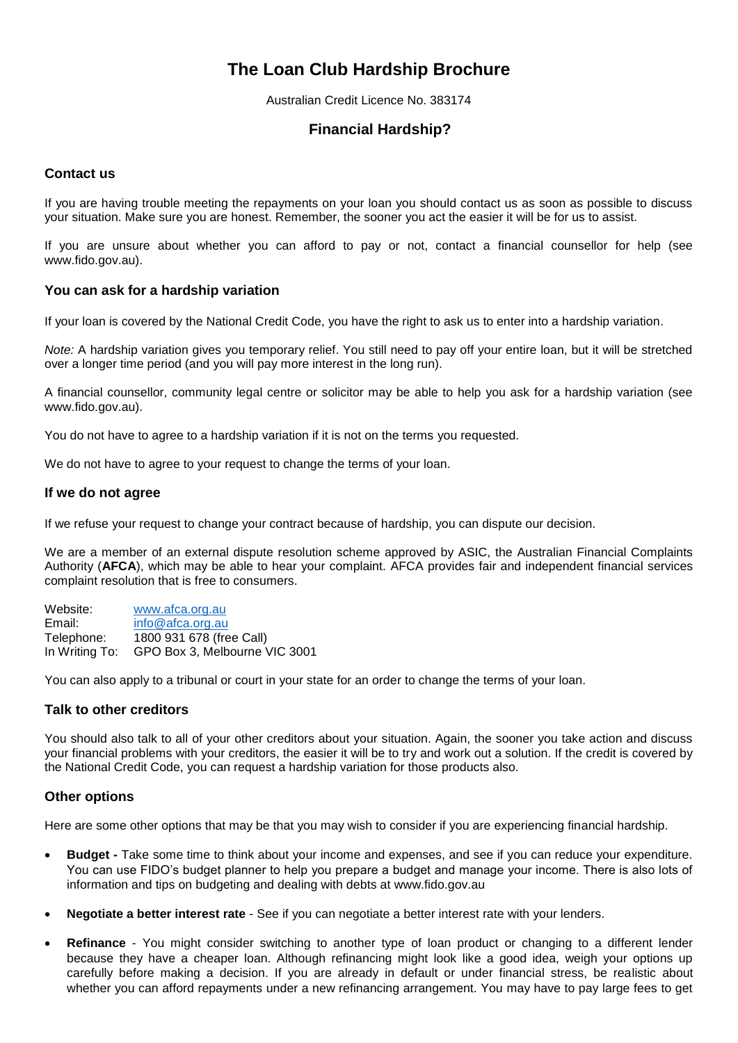# **The Loan Club Hardship Brochure**

Australian Credit Licence No. 383174

## **Financial Hardship?**

## **Contact us**

If you are having trouble meeting the repayments on your loan you should contact us as soon as possible to discuss your situation. Make sure you are honest. Remember, the sooner you act the easier it will be for us to assist.

If you are unsure about whether you can afford to pay or not, contact a financial counsellor for help (see www.fido.gov.au).

## **You can ask for a hardship variation**

If your loan is covered by the National Credit Code, you have the right to ask us to enter into a hardship variation.

*Note:* A hardship variation gives you temporary relief. You still need to pay off your entire loan, but it will be stretched over a longer time period (and you will pay more interest in the long run).

A financial counsellor, community legal centre or solicitor may be able to help you ask for a hardship variation (see www.fido.gov.au).

You do not have to agree to a hardship variation if it is not on the terms you requested.

We do not have to agree to your request to change the terms of your loan.

### **If we do not agree**

If we refuse your request to change your contract because of hardship, you can dispute our decision.

We are a member of an external dispute resolution scheme approved by ASIC, the Australian Financial Complaints Authority (**AFCA**), which may be able to hear your complaint. AFCA provides fair and independent financial services complaint resolution that is free to consumers.

Website: [www.afca.org.au](http://www.afca.org.au/) Email: [info@afca.org.au](mailto:info@afca.org.au) Telephone: 1800 931 678 (free Call) In Writing To: GPO Box 3, Melbourne VIC 3001

You can also apply to a tribunal or court in your state for an order to change the terms of your loan.

### **Talk to other creditors**

You should also talk to all of your other creditors about your situation. Again, the sooner you take action and discuss your financial problems with your creditors, the easier it will be to try and work out a solution. If the credit is covered by the National Credit Code, you can request a hardship variation for those products also.

### **Other options**

Here are some other options that may be that you may wish to consider if you are experiencing financial hardship.

- **Budget -** Take some time to think about your income and expenses, and see if you can reduce your expenditure. You can use FIDO's budget planner to help you prepare a budget and manage your income. There is also lots of information and tips on budgeting and dealing with debts at [www.fido.gov.au](http://www.fido.gov.au/)
- **Negotiate a better interest rate** See if you can negotiate a better interest rate with your lenders.
- **Refinance** You might consider switching to another type of loan product or changing to a different lender because they have a cheaper loan. Although refinancing might look like a good idea, weigh your options up carefully before making a decision. If you are already in default or under financial stress, be realistic about whether you can afford repayments under a new refinancing arrangement. You may have to pay large fees to get